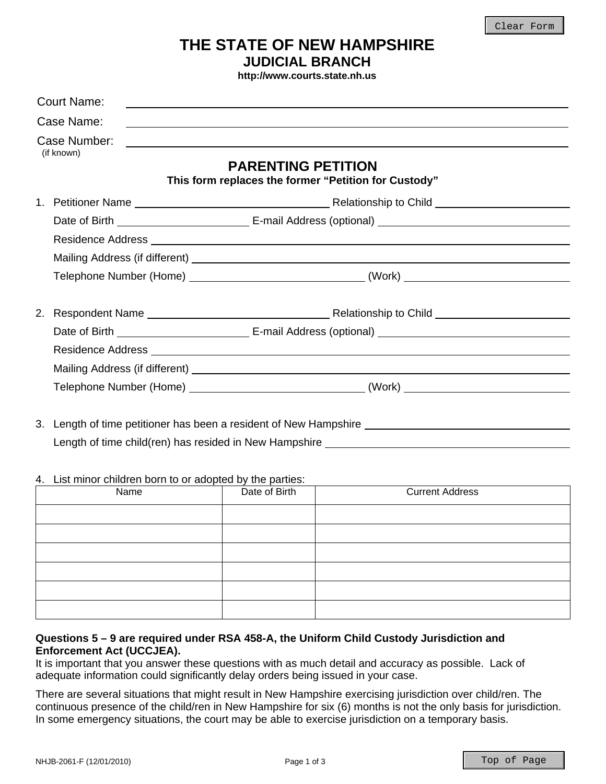## **THE STATE OF NEW HAMPSHIRE JUDICIAL BRANCH**

**http://www.courts.state.nh.us**

|  | <b>Court Name:</b>         |                                                                                                                                                                                                           |
|--|----------------------------|-----------------------------------------------------------------------------------------------------------------------------------------------------------------------------------------------------------|
|  | Case Name:                 | <u> 1989 - Jan Samuel Barbara, martin basar da shekara ta 1989 - An tsara tsara tsara tsara tsara tsara tsara tsa</u>                                                                                     |
|  | Case Number:<br>(if known) | <u> 1980 - Jan Barbara Barat, margaretan bat da bat da bat da bat da bat da bat da bat da bat da bat da bat da b</u><br><b>PARENTING PETITION</b><br>This form replaces the former "Petition for Custody" |
|  |                            |                                                                                                                                                                                                           |
|  |                            |                                                                                                                                                                                                           |
|  |                            |                                                                                                                                                                                                           |
|  |                            |                                                                                                                                                                                                           |
|  |                            |                                                                                                                                                                                                           |
|  |                            |                                                                                                                                                                                                           |
|  |                            |                                                                                                                                                                                                           |
|  |                            |                                                                                                                                                                                                           |
|  |                            |                                                                                                                                                                                                           |
|  |                            |                                                                                                                                                                                                           |
|  |                            | $\alpha$ . The set of the constitution of the contract of the constitution of $\alpha$ . The constitution of the constitution                                                                             |

3. Length of time petitioner has been a resident of New Hampshire Length of time child(ren) has resided in New Hampshire \_\_\_\_\_\_\_\_\_\_\_

## 4. List minor children born to or adopted by the parties:

| Name | Date of Birth | <b>Current Address</b> |
|------|---------------|------------------------|
|      |               |                        |
|      |               |                        |
|      |               |                        |
|      |               |                        |
|      |               |                        |
|      |               |                        |

## **Questions 5 – 9 are required under RSA 458-A, the Uniform Child Custody Jurisdiction and Enforcement Act (UCCJEA).**

It is important that you answer these questions with as much detail and accuracy as possible. Lack of adequate information could significantly delay orders being issued in your case.

There are several situations that might result in New Hampshire exercising jurisdiction over child/ren. The continuous presence of the child/ren in New Hampshire for six (6) months is not the only basis for jurisdiction. In some emergency situations, the court may be able to exercise jurisdiction on a temporary basis.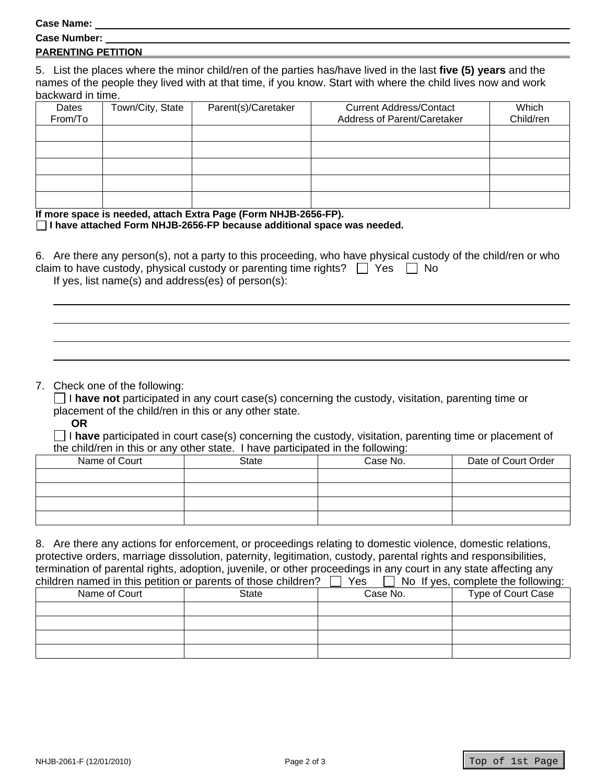## **Case Name:**

| ---------------           |  |  |  |
|---------------------------|--|--|--|
| <b>Case Number:</b>       |  |  |  |
| <b>PARENTING PETITION</b> |  |  |  |
|                           |  |  |  |

5. List the places where the minor child/ren of the parties has/have lived in the last **five (5) years** and the names of the people they lived with at that time, if you know. Start with where the child lives now and work backward in time.

| Dates<br>From/To | Town/City, State | Parent(s)/Caretaker | <b>Current Address/Contact</b><br>Address of Parent/Caretaker | Which<br>Child/ren |
|------------------|------------------|---------------------|---------------------------------------------------------------|--------------------|
|                  |                  |                     |                                                               |                    |
|                  |                  |                     |                                                               |                    |
|                  |                  |                     |                                                               |                    |
|                  |                  |                     |                                                               |                    |
|                  |                  |                     |                                                               |                    |

**If more space is needed, attach Extra Page (Form NHJB-2656-FP).** 

**I have attached Form NHJB-2656-FP because additional space was needed.** 

| 6. Are there any person(s), not a party to this proceeding, who have physical custody of the child/ren or who |
|---------------------------------------------------------------------------------------------------------------|
| claim to have custody, physical custody or parenting time rights? $\Box$ Yes $\Box$ No                        |
| If yes, list name(s) and address(es) of person(s):                                                            |

7. Check one of the following:

 I **have not** participated in any court case(s) concerning the custody, visitation, parenting time or placement of the child/ren in this or any other state.

**OR**

 I **have** participated in court case(s) concerning the custody, visitation, parenting time or placement of the child/ren in this or any other state. I have participated in the following:

| Name of Court | <b>State</b> | Case No. | Date of Court Order |
|---------------|--------------|----------|---------------------|
|               |              |          |                     |
|               |              |          |                     |
|               |              |          |                     |
|               |              |          |                     |

8. Are there any actions for enforcement, or proceedings relating to domestic violence, domestic relations, protective orders, marriage dissolution, paternity, legitimation, custody, parental rights and responsibilities, termination of parental rights, adoption, juvenile, or other proceedings in any court in any state affecting any children named in this petition or parents of those children?  $\Box$  Yes  $\Box$  No. If yes, complete the following:

| <b>UNIVERSITY OF PUBLIC CITY OF PUBLIC CONTROLS OF A LOGIC CHILDI CITY</b><br>ט ו<br><b>TYO IT YOU, CONTINIUE THE TURNERY.</b> |       |          |                    |
|--------------------------------------------------------------------------------------------------------------------------------|-------|----------|--------------------|
| Name of Court                                                                                                                  | State | Case No. | Type of Court Case |
|                                                                                                                                |       |          |                    |
|                                                                                                                                |       |          |                    |
|                                                                                                                                |       |          |                    |
|                                                                                                                                |       |          |                    |